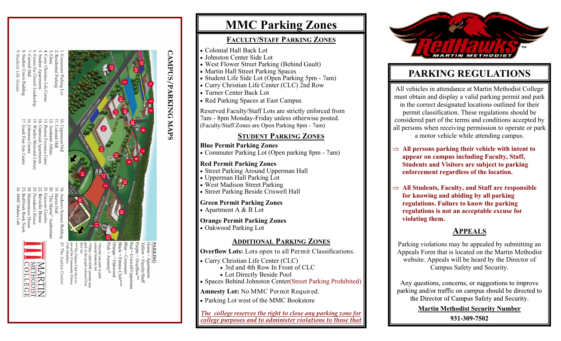# **Affairs**

- tian Life Center
- Apartments
- 
- **Building**

dent Life House

- 
- Church Leadership
- 
- Apartment
- 
- 
- 
- 
- 
- 
- 
- 







The Justice Center

ness Club lot is re-<br>Community Fitness



**PARKING** nyone can park in pink<br>lored Annesty lot. lid MMC permits m<br>purple colored Ove

# **MMC Parking Zones**

## **FACULTY/STAFF PARKING ZONES**

- Colonial Hall Back Lot
- Johnston Center Side Lot
- West Flower Street Parking (Behind Gault)
- Martin Hall Street Parking Spaces
- Student Life Side Lot (Open Parking 5pm 7am)
- Curry Christian Life Center (CLC) 2nd Row
- Turner Center Back Lot

**CAMPUS/PARKING MAPS** 

• Red Parking Spaces at East Campus

Reserved Faculty/Staff Lots are strictly enforced from 7am - 8pm Monday-Friday unless otherwise posted. (Faculty/Staff Zones are Open Parking 8pm - 7am)

## **STUDENT PARKING ZONES**

### **Blue Permit Parking Zones**

Commuter Parking Lot (Open parking 8pm - 7am)

### **Red Permit Parking Zones**

- Street Parking Around Upperman Hall
- Upperman Hall Parking Lot
- West Madison Street Parking
- Street Parking Beside Criswell Hall

### **Green Permit Parking Zones**

Apartment A & B Lot

# **Orange Permit Parking Zones**

Oakwood Parking Lot

### **ADDITIONAL PARKING ZONES**

**Overflow Lots:** Lots open to all Permit Classifications.

- Curry Christian Life Center (CLC)
	- 3rd and 4th Row In Front of CLC
	- Lot Directly Beside Pool
- Spaces Behind Johnston Center(Street Parking Prohibited)

**Amnesty Lot:** No MMC Permit Required.

Parking Lot west of the MMC Bookstore

*The college reserves the right to close any parking zone for college purposes and to administer violations to those that* 



# **PARKING REGULATIONS**

All vehicles in attendance at Martin Methodist College must obtain and display a valid parking permit and park in the correct designated locations outlined for their permit classification. These regulations should be considered part of the terms and conditions accepted by all persons when receiving permission to operate or park a motor vehicle while attending campus.

- $\Rightarrow$  All persons parking their vehicle with intent to **appear on campus including Faculty, Staff, Students and Visitors are subject to parking enforcement regardless of the location.**
- $\Rightarrow$  All Students, Faculty, and Staff are responsible **for knowing and abiding by all parking regulations. Failure to know the parking regulations is not an acceptable excuse for violating them.**

# **APPEALS**

Parking violations may be appealed by submitting an Appeals Form that is located on the Martin Methodist website. Appeals will be heard by the Director of Campus Safety and Security.

Any questions, concerns, or suggestions to improve parking and/or traffic on campus should be directed to the Director of Campus Safety and Security.

**Martin Methodist Security Number**

931-309-7502